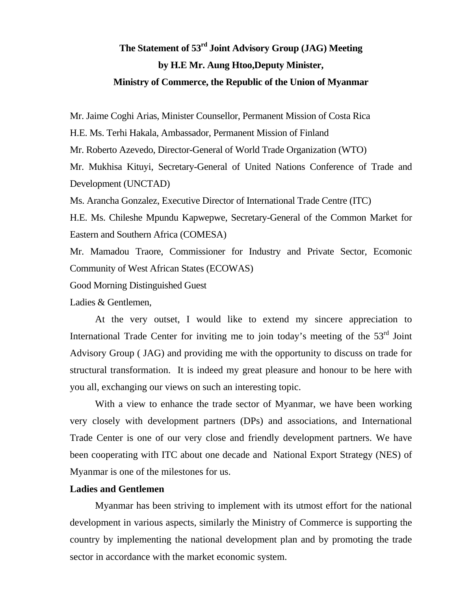## **The Statement of 53rd Joint Advisory Group (JAG) Meeting by H.E Mr. Aung Htoo,Deputy Minister, Ministry of Commerce, the Republic of the Union of Myanmar**

Mr. Jaime Coghi Arias, Minister Counsellor, Permanent Mission of Costa Rica

H.E. Ms. Terhi Hakala, Ambassador, Permanent Mission of Finland

Mr. Roberto Azevedo, Director-General of World Trade Organization (WTO)

Mr. Mukhisa Kituyi, Secretary-General of United Nations Conference of Trade and Development (UNCTAD)

Ms. Arancha Gonzalez, Executive Director of International Trade Centre (ITC)

H.E. Ms. Chileshe Mpundu Kapwepwe, Secretary-General of the Common Market for Eastern and Southern Africa (COMESA)

Mr. Mamadou Traore, Commissioner for Industry and Private Sector, Ecomonic Community of West African States (ECOWAS)

Good Morning Distinguished Guest

Ladies & Gentlemen,

At the very outset, I would like to extend my sincere appreciation to International Trade Center for inviting me to join today's meeting of the  $53<sup>rd</sup>$  Joint Advisory Group ( JAG) and providing me with the opportunity to discuss on trade for structural transformation. It is indeed my great pleasure and honour to be here with you all, exchanging our views on such an interesting topic.

With a view to enhance the trade sector of Myanmar, we have been working very closely with development partners (DPs) and associations, and International Trade Center is one of our very close and friendly development partners. We have been cooperating with ITC about one decade and National Export Strategy (NES) of Myanmar is one of the milestones for us.

## **Ladies and Gentlemen**

Myanmar has been striving to implement with its utmost effort for the national development in various aspects, similarly the Ministry of Commerce is supporting the country by implementing the national development plan and by promoting the trade sector in accordance with the market economic system.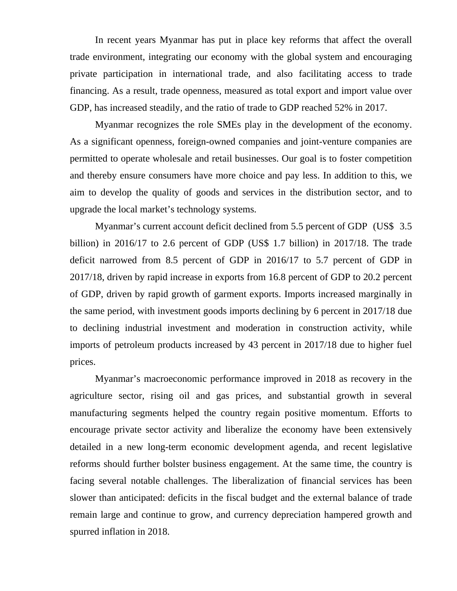In recent years Myanmar has put in place key reforms that affect the overall trade environment, integrating our economy with the global system and encouraging private participation in international trade, and also facilitating access to trade financing. As a result, trade openness, measured as total export and import value over GDP, has increased steadily, and the ratio of trade to GDP reached 52% in 2017.

Myanmar recognizes the role SMEs play in the development of the economy. As a significant openness, foreign-owned companies and joint-venture companies are permitted to operate wholesale and retail businesses. Our goal is to foster competition and thereby ensure consumers have more choice and pay less. In addition to this, we aim to develop the quality of goods and services in the distribution sector, and to upgrade the local market's technology systems.

Myanmar's current account deficit declined from 5.5 percent of GDP (US\$ 3.5 billion) in 2016/17 to 2.6 percent of GDP (US\$ 1.7 billion) in 2017/18. The trade deficit narrowed from 8.5 percent of GDP in 2016/17 to 5.7 percent of GDP in 2017/18, driven by rapid increase in exports from 16.8 percent of GDP to 20.2 percent of GDP, driven by rapid growth of garment exports. Imports increased marginally in the same period, with investment goods imports declining by 6 percent in 2017/18 due to declining industrial investment and moderation in construction activity, while imports of petroleum products increased by 43 percent in 2017/18 due to higher fuel prices.

Myanmar's macroeconomic performance improved in 2018 as recovery in the agriculture sector, rising oil and gas prices, and substantial growth in several manufacturing segments helped the country regain positive momentum. Efforts to encourage private sector activity and liberalize the economy have been extensively detailed in a new long-term economic development agenda, and recent legislative reforms should further bolster business engagement. At the same time, the country is facing several notable challenges. The liberalization of financial services has been slower than anticipated: deficits in the fiscal budget and the external balance of trade remain large and continue to grow, and currency depreciation hampered growth and spurred inflation in 2018.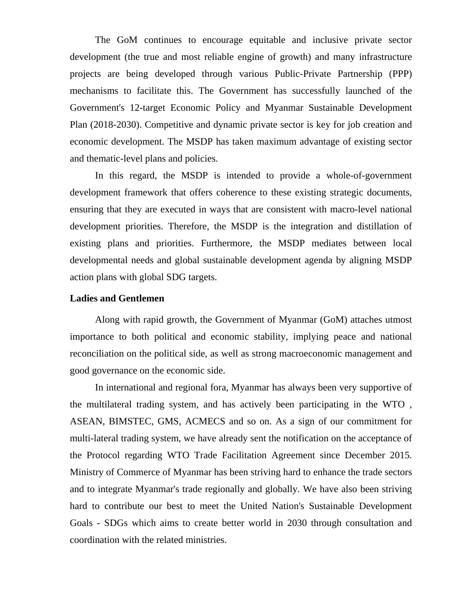The GoM continues to encourage equitable and inclusive private sector development (the true and most reliable engine of growth) and many infrastructure projects are being developed through various Public-Private Partnership (PPP) mechanisms to facilitate this. The Government has successfully launched of the Government's 12-target Economic Policy and Myanmar Sustainable Development Plan (2018-2030). Competitive and dynamic private sector is key for job creation and economic development. The MSDP has taken maximum advantage of existing sector and thematic-level plans and policies.

In this regard, the MSDP is intended to provide a whole-of-government development framework that offers coherence to these existing strategic documents, ensuring that they are executed in ways that are consistent with macro-level national development priorities. Therefore, the MSDP is the integration and distillation of existing plans and priorities. Furthermore, the MSDP mediates between local developmental needs and global sustainable development agenda by aligning MSDP action plans with global SDG targets.

## **Ladies and Gentlemen**

Along with rapid growth, the Government of Myanmar (GoM) attaches utmost importance to both political and economic stability, implying peace and national reconciliation on the political side, as well as strong macroeconomic management and good governance on the economic side.

In international and regional fora, Myanmar has always been very supportive of the multilateral trading system, and has actively been participating in the WTO , ASEAN, BIMSTEC, GMS, ACMECS and so on. As a sign of our commitment for multi-lateral trading system, we have already sent the notification on the acceptance of the Protocol regarding WTO Trade Facilitation Agreement since December 2015. Ministry of Commerce of Myanmar has been striving hard to enhance the trade sectors and to integrate Myanmar's trade regionally and globally. We have also been striving hard to contribute our best to meet the United Nation's Sustainable Development Goals - SDGs which aims to create better world in 2030 through consultation and coordination with the related ministries.